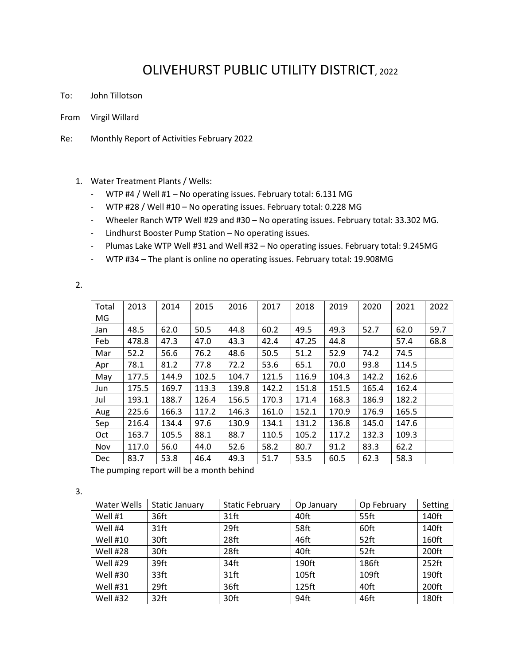## OLIVEHURST PUBLIC UTILITY DISTRICT, 2022

- To: John Tillotson
- From Virgil Willard
- Re: Monthly Report of Activities February 2022
	- 1. Water Treatment Plants / Wells:
		- WTP #4 / Well #1 No operating issues. February total: 6.131 MG
		- WTP #28 / Well #10 No operating issues. February total: 0.228 MG
		- Wheeler Ranch WTP Well #29 and #30 No operating issues. February total: 33.302 MG.
		- Lindhurst Booster Pump Station No operating issues.
		- Plumas Lake WTP Well #31 and Well #32 No operating issues. February total: 9.245MG
		- WTP #34 The plant is online no operating issues. February total: 19.908MG

2.

| Total      | 2013  | 2014  | 2015  | 2016  | 2017  | 2018  | 2019  | 2020  | 2021  | 2022 |
|------------|-------|-------|-------|-------|-------|-------|-------|-------|-------|------|
| MG         |       |       |       |       |       |       |       |       |       |      |
| Jan        | 48.5  | 62.0  | 50.5  | 44.8  | 60.2  | 49.5  | 49.3  | 52.7  | 62.0  | 59.7 |
| Feb        | 478.8 | 47.3  | 47.0  | 43.3  | 42.4  | 47.25 | 44.8  |       | 57.4  | 68.8 |
| Mar        | 52.2  | 56.6  | 76.2  | 48.6  | 50.5  | 51.2  | 52.9  | 74.2  | 74.5  |      |
| Apr        | 78.1  | 81.2  | 77.8  | 72.2  | 53.6  | 65.1  | 70.0  | 93.8  | 114.5 |      |
| May        | 177.5 | 144.9 | 102.5 | 104.7 | 121.5 | 116.9 | 104.3 | 142.2 | 162.6 |      |
| Jun        | 175.5 | 169.7 | 113.3 | 139.8 | 142.2 | 151.8 | 151.5 | 165.4 | 162.4 |      |
| Jul        | 193.1 | 188.7 | 126.4 | 156.5 | 170.3 | 171.4 | 168.3 | 186.9 | 182.2 |      |
| Aug        | 225.6 | 166.3 | 117.2 | 146.3 | 161.0 | 152.1 | 170.9 | 176.9 | 165.5 |      |
| Sep        | 216.4 | 134.4 | 97.6  | 130.9 | 134.1 | 131.2 | 136.8 | 145.0 | 147.6 |      |
| Oct        | 163.7 | 105.5 | 88.1  | 88.7  | 110.5 | 105.2 | 117.2 | 132.3 | 109.3 |      |
| Nov        | 117.0 | 56.0  | 44.0  | 52.6  | 58.2  | 80.7  | 91.2  | 83.3  | 62.2  |      |
| <b>Dec</b> | 83.7  | 53.8  | 46.4  | 49.3  | 51.7  | 53.5  | 60.5  | 62.3  | 58.3  |      |

The pumping report will be a month behind

3.

| Water Wells | <b>Static January</b> | <b>Static February</b> | Op January | Op February | Setting  |
|-------------|-----------------------|------------------------|------------|-------------|----------|
| Well #1     | 36ft                  | 31ft                   | 40ft       | 55ft        | 140ft    |
| Well #4     | 31ft                  | 29ft                   | 58ft       | 60ft        | 140ft    |
| Well #10    | 30ft                  | 28ft                   | 46ft       | $52$ ft     | 160ft    |
| Well #28    | 30ft                  | 28ft                   | 40ft       | 52ft        | 200ft    |
| Well #29    | 39ft                  | 34ft                   | 190ft      | 186ft       | $252$ ft |
| Well #30    | 33ft                  | $31$ ft                | 105ft      | 109ft       | 190ft    |
| Well #31    | 29ft                  | 36ft                   | 125ft      | 40ft        | 200ft    |
| Well #32    | 32ft                  | 30ft                   | 94ft       | 46ft        | 180ft    |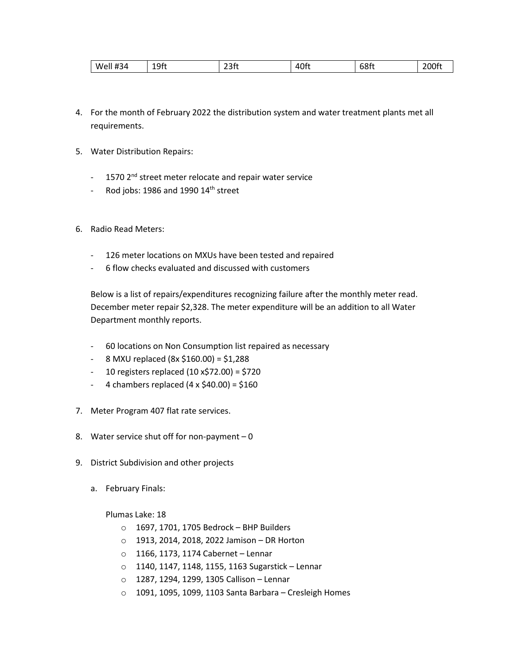| ົາລົ<br>68ft<br>$  -$<br>#34<br>⊿∩f'<br>∩⊷<br>ام/M<br>-<br>. .<br>-<br>باالك<br>コロレ<br>--- |  |
|--------------------------------------------------------------------------------------------|--|
|--------------------------------------------------------------------------------------------|--|

- 4. For the month of February 2022 the distribution system and water treatment plants met all requirements.
- 5. Water Distribution Repairs:
	- 1570 2<sup>nd</sup> street meter relocate and repair water service
	- Rod jobs: 1986 and 1990  $14<sup>th</sup>$  street
- 6. Radio Read Meters:
	- 126 meter locations on MXUs have been tested and repaired
	- 6 flow checks evaluated and discussed with customers

Below is a list of repairs/expenditures recognizing failure after the monthly meter read. December meter repair \$2,328. The meter expenditure will be an addition to all Water Department monthly reports.

- 60 locations on Non Consumption list repaired as necessary
- 8 MXU replaced (8x \$160.00) = \$1,288
- 10 registers replaced (10 x\$72.00) = \$720
- $-4$  chambers replaced  $(4 \times $40.00) = $160$
- 7. Meter Program 407 flat rate services.
- 8. Water service shut off for non-payment  $-0$
- 9. District Subdivision and other projects
	- a. February Finals:

Plumas Lake: 18

- o 1697, 1701, 1705 Bedrock BHP Builders
- o 1913, 2014, 2018, 2022 Jamison DR Horton
- o 1166, 1173, 1174 Cabernet Lennar
- o 1140, 1147, 1148, 1155, 1163 Sugarstick Lennar
- o 1287, 1294, 1299, 1305 Callison Lennar
- o 1091, 1095, 1099, 1103 Santa Barbara Cresleigh Homes